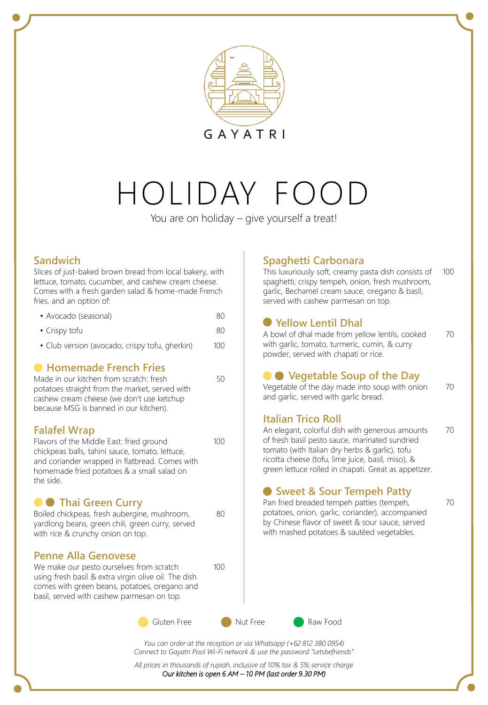

# HOLIDAY FO

You are on holiday – give yourself a treat!

50

80

100

#### **Sandwich**

Slices of just-baked brown bread from local bakery, with lettuce, tomato, cucumber, and cashew cream cheese. Comes with a fresh garden salad & home-made French fries, and an option of:

| 80 |
|----|
|    |

- Crispy tofu 80
- Club version (avocado, crispy tofu, gherkin) 100

### **Homemade French Fries**

Made in our kitchen from scratch: fresh potatoes straight from the market, served with cashew cream cheese (we don't use ketchup because MSG is banned in our kitchen).

#### **Falafel Wrap**

Flavors of the Middle East: fried ground chickpeas balls, tahini sauce, tomato, lettuce, and coriander wrapped in flatbread. Comes with homemade fried potatoes & a small salad on the side. 100

### **O** Thai Green Curry

Boiled chickpeas, fresh aubergine, mushroom, yardlong beans, green chili, green curry, served with rice & crunchy onion on top.

#### **Penne Alla Genovese**

We make our pesto ourselves from scratch using fresh basil & extra virgin olive oil. The dish comes with green beans, potatoes, oregano and basil, served with cashew parmesan on top.



*You can order at the reception or via Whatsapp (+62 812 380 0954) Connect to Gayatri Pool Wi-Fi network & use the password "Letsbefriends"*

*All prices in thousands of rupiah, inclusive of 10% tax & 5% service charge*

*Our kitchen is open 6 AM – 10 PM (last order 9.30 PM)*

## **Spaghetti Carbonara**

This luxuriously soft, creamy pasta dish consists of spaghetti, crispy tempeh, onion, fresh mushroom, garlic, Bechamel cream sauce, oregano & basil, served with cashew parmesan on top. 100

## **Yellow Lentil Dhal**

A bowl of dhal made from yellow lentils, cooked with garlic, tomato, turmeric, cumin, & curry powder, served with chapati or rice. 70

## **Vegetable Soup of the Day**

Vegetable of the day made into soup with onion and garlic, served with garlic bread. 70

#### **Italian Trico Roll**

An elegant, colorful dish with generous amounts of fresh basil pesto sauce, marinated sundried tomato (with Italian dry herbs & garlic), tofu ricotta cheese (tofu, lime juice, basil, miso), & green lettuce rolled in chapati. Great as appetizer. 70

### **Sweet & Sour Tempeh Patty**

Pan fried breaded tempeh patties (tempeh, potatoes, onion, garlic, coriander), accompanied by Chinese flavor of sweet & sour sauce, served with mashed potatoes & sautéed vegetables.

70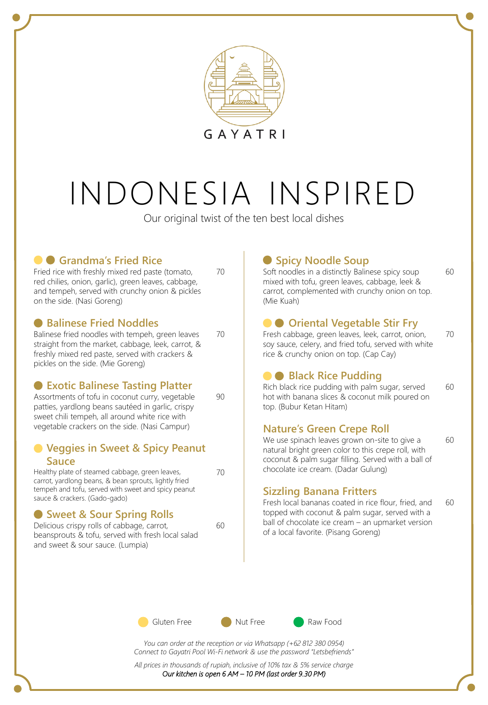

# INDONESIA INSPIRED

Our original twist of the ten best local dishes

70

70

90

70

 $60$ 

# **Grandma's Fried Rice**

Fried rice with freshly mixed red paste (tomato, red chilies, onion, garlic), green leaves, cabbage, and tempeh, served with crunchy onion & pickles on the side. (Nasi Goreng)

### **Balinese Fried Noddles**

Balinese fried noodles with tempeh, green leaves straight from the market, cabbage, leek, carrot, & freshly mixed red paste, served with crackers & pickles on the side. (Mie Goreng)

### **Exotic Balinese Tasting Platter**

Assortments of tofu in coconut curry, vegetable patties, yardlong beans sautéed in garlic, crispy sweet chili tempeh, all around white rice with vegetable crackers on the side. (Nasi Campur)

#### **Veggies in Sweet & Spicy Peanut Sauce**

Healthy plate of steamed cabbage, green leaves, carrot, yardlong beans, & bean sprouts, lightly fried tempeh and tofu, served with sweet and spicy peanut sauce & crackers. (Gado-gado)

## **Sweet & Sour Spring Rolls**

Delicious crispy rolls of cabbage, carrot, beansprouts & tofu, served with fresh local salad and sweet & sour sauce. (Lumpia)

# **Spicy Noodle Soup**

Soft noodles in a distinctly Balinese spicy soup mixed with tofu, green leaves, cabbage, leek & carrot, complemented with crunchy onion on top. (Mie Kuah)

60

70

60

# **O** Oriental Vegetable Stir Fry

Fresh cabbage, green leaves, leek, carrot, onion, soy sauce, celery, and fried tofu, served with white rice & crunchy onion on top. (Cap Cay)

## **Black Rice Pudding**

Rich black rice pudding with palm sugar, served hot with banana slices & coconut milk poured on top. (Bubur Ketan Hitam) 60

### **Nature's Green Crepe Roll**

We use spinach leaves grown on-site to give a natural bright green color to this crepe roll, with coconut & palm sugar filling. Served with a ball of chocolate ice cream. (Dadar Gulung)

## **Sizzling Banana Fritters**

Fresh local bananas coated in rice flour, fried, and topped with coconut & palm sugar, served with a ball of chocolate ice cream – an upmarket version of a local favorite. (Pisang Goreng) 60



*You can order at the reception or via Whatsapp (+62 812 380 0954) Connect to Gayatri Pool Wi-Fi network & use the password "Letsbefriends"*

*All prices in thousands of rupiah, inclusive of 10% tax & 5% service charge Our kitchen is open 6 AM – 10 PM (last order 9.30 PM)*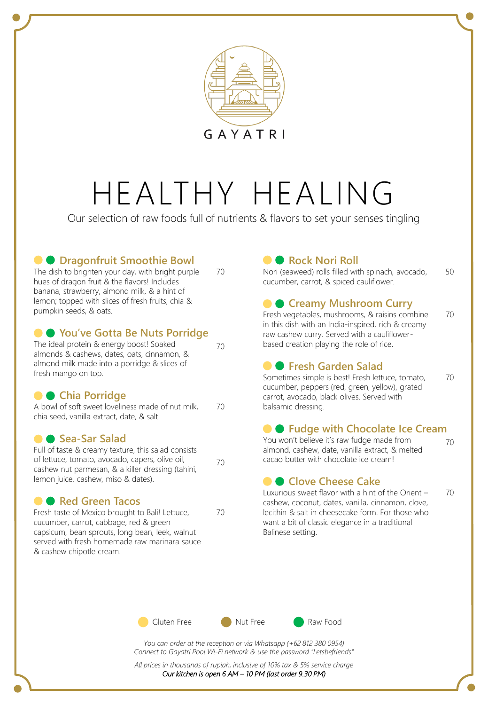

# HEALTHY HEALING

Our selection of raw foods full of nutrients & flavors to set your senses tingling

70

70

70

70

## **C**  $\bullet$  **Dragonfruit Smoothie Bowl**

The dish to brighten your day, with bright purple hues of dragon fruit & the flavors! Includes banana, strawberry, almond milk, & a hint of lemon; topped with slices of fresh fruits, chia & pumpkin seeds, & oats.

### **You've Gotta Be Nuts Porridge**

The ideal protein & energy boost! Soaked almonds & cashews, dates, oats, cinnamon, & almond milk made into a porridge & slices of fresh mango on top.

## **Chia Porridge**

A bowl of soft sweet loveliness made of nut milk, chia seed, vanilla extract, date, & salt. 70

#### **Sea-Sar Salad**

Full of taste & creamy texture, this salad consists of lettuce, tomato, avocado, capers, olive oil, cashew nut parmesan, & a killer dressing (tahini, lemon juice, cashew, miso & dates).

### **C Red Green Tacos**

Fresh taste of Mexico brought to Bali! Lettuce, cucumber, carrot, cabbage, red & green capsicum, bean sprouts, long bean, leek, walnut served with fresh homemade raw marinara sauce & cashew chipotle cream.

# **Rock Nori Roll**

Nori (seaweed) rolls filled with spinach, avocado, cucumber, carrot, & spiced cauliflower. 50

## **Creamy Mushroom Curry**

Fresh vegetables, mushrooms, & raisins combine in this dish with an India-inspired, rich & creamy raw cashew curry. Served with a cauliflowerbased creation playing the role of rice.

## **• Fresh Garden Salad**

Sometimes simple is best! Fresh lettuce, tomato, cucumber, peppers (red, green, yellow), grated carrot, avocado, black olives. Served with balsamic dressing. 70

### **• Fudge with Chocolate Ice Cream**

You won't believe it's raw fudge made from almond, cashew, date, vanilla extract, & melted cacao butter with chocolate ice cream!

### **Clove Cheese Cake**

70

70

70

Luxurious sweet flavor with a hint of the Orient – cashew, coconut, dates, vanilla, cinnamon, clove, lecithin & salt in cheesecake form. For those who want a bit of classic elegance in a traditional Balinese setting.



*You can order at the reception or via Whatsapp (+62 812 380 0954) Connect to Gayatri Pool Wi-Fi network & use the password "Letsbefriends"*

*All prices in thousands of rupiah, inclusive of 10% tax & 5% service charge Our kitchen is open 6 AM – 10 PM (last order 9.30 PM)*